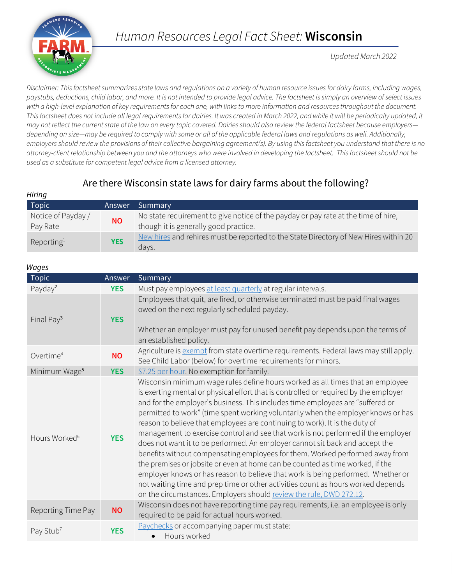

# *Human Resources Legal Fact Sheet:* **Wisconsin**

*Updated March 2022*

*Disclaimer: This factsheet summarizes state laws and regulations on a variety of human resource issues for dairy farms, including wages, paystubs, deductions, child labor, and more. It is not intended to provide legal advice. The factsheet is simply an overview of select issues with a high-level explanation of key requirements for each one, with links to more information and resources throughout the document.*  This factsheet does not include all legal requirements for dairies. It was created in March 2022, and while it will be periodically updated, it *may not reflect the current state of the law on every topic covered. Dairies should also review the federal factsheet because employers depending on size—may be required to comply with some or all of the applicable federal laws and regulations as well. Additionally, employers should review the provisions of their collective bargaining agreement(s). By using this factsheet you understand that there is no attorney-client relationship between you and the attorneys who were involved in developing the factsheet. This factsheet should not be used as a substitute for competent legal advice from a licensed attorney.*

# Are there Wisconsin state laws for dairy farms about the following?

| Topic                          | Answer     | Summary                                                                                                                     |
|--------------------------------|------------|-----------------------------------------------------------------------------------------------------------------------------|
| Notice of Payday /<br>Pay Rate | <b>NO</b>  | No state requirement to give notice of the payday or pay rate at the time of hire,<br>though it is generally good practice. |
| Reporting <sup>1</sup>         | <b>YES</b> | New hires and rehires must be reported to the State Directory of New Hires within 20<br>days.                               |

#### *Wages*

*Hiring*

| Topic                     | Answer     | Summary                                                                                                                                                                                                                                                                                                                                                                                                                                                                                                                                                                                                                                                                                                                                                                                                                                                                                                                                                                                                           |
|---------------------------|------------|-------------------------------------------------------------------------------------------------------------------------------------------------------------------------------------------------------------------------------------------------------------------------------------------------------------------------------------------------------------------------------------------------------------------------------------------------------------------------------------------------------------------------------------------------------------------------------------------------------------------------------------------------------------------------------------------------------------------------------------------------------------------------------------------------------------------------------------------------------------------------------------------------------------------------------------------------------------------------------------------------------------------|
| Payday <sup>2</sup>       | <b>YES</b> | Must pay employees at least quarterly at regular intervals.                                                                                                                                                                                                                                                                                                                                                                                                                                                                                                                                                                                                                                                                                                                                                                                                                                                                                                                                                       |
| Final Pay <sup>3</sup>    | <b>YES</b> | Employees that quit, are fired, or otherwise terminated must be paid final wages<br>owed on the next regularly scheduled payday.<br>Whether an employer must pay for unused benefit pay depends upon the terms of<br>an established policy.                                                                                                                                                                                                                                                                                                                                                                                                                                                                                                                                                                                                                                                                                                                                                                       |
| Overtime <sup>4</sup>     | <b>NO</b>  | Agriculture is exempt from state overtime requirements. Federal laws may still apply.<br>See Child Labor (below) for overtime requirements for minors.                                                                                                                                                                                                                                                                                                                                                                                                                                                                                                                                                                                                                                                                                                                                                                                                                                                            |
| Minimum Wage <sup>5</sup> | <b>YES</b> | \$7.25 per hour. No exemption for family.                                                                                                                                                                                                                                                                                                                                                                                                                                                                                                                                                                                                                                                                                                                                                                                                                                                                                                                                                                         |
| Hours Worked <sup>6</sup> | <b>YES</b> | Wisconsin minimum wage rules define hours worked as all times that an employee<br>is exerting mental or physical effort that is controlled or required by the employer<br>and for the employer's business. This includes time employees are "suffered or<br>permitted to work" (time spent working voluntarily when the employer knows or has<br>reason to believe that employees are continuing to work). It is the duty of<br>management to exercise control and see that work is not performed if the employer<br>does not want it to be performed. An employer cannot sit back and accept the<br>benefits without compensating employees for them. Worked performed away from<br>the premises or jobsite or even at home can be counted as time worked, if the<br>employer knows or has reason to believe that work is being performed. Whether or<br>not waiting time and prep time or other activities count as hours worked depends<br>on the circumstances. Employers should review the rule, DWD 272.12. |
| Reporting Time Pay        | <b>NO</b>  | Wisconsin does not have reporting time pay requirements, i.e. an employee is only<br>required to be paid for actual hours worked.                                                                                                                                                                                                                                                                                                                                                                                                                                                                                                                                                                                                                                                                                                                                                                                                                                                                                 |
| Pay Stub <sup>7</sup>     | <b>YES</b> | Paychecks or accompanying paper must state:<br>Hours worked                                                                                                                                                                                                                                                                                                                                                                                                                                                                                                                                                                                                                                                                                                                                                                                                                                                                                                                                                       |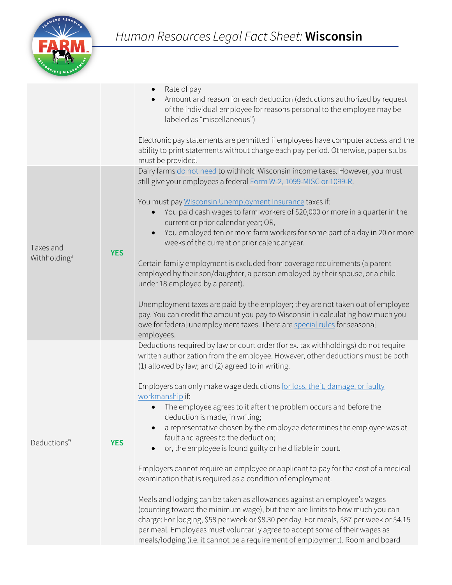

|                                       |            | Rate of pay<br>$\bullet$<br>Amount and reason for each deduction (deductions authorized by request<br>$\bullet$<br>of the individual employee for reasons personal to the employee may be<br>labeled as "miscellaneous")<br>Electronic pay statements are permitted if employees have computer access and the<br>ability to print statements without charge each pay period. Otherwise, paper stubs<br>must be provided.                                                                                                                                                                                                                                                                                                                                                                                                                                                                                                                                                                                                                                                                                                                                                                                               |
|---------------------------------------|------------|------------------------------------------------------------------------------------------------------------------------------------------------------------------------------------------------------------------------------------------------------------------------------------------------------------------------------------------------------------------------------------------------------------------------------------------------------------------------------------------------------------------------------------------------------------------------------------------------------------------------------------------------------------------------------------------------------------------------------------------------------------------------------------------------------------------------------------------------------------------------------------------------------------------------------------------------------------------------------------------------------------------------------------------------------------------------------------------------------------------------------------------------------------------------------------------------------------------------|
| Taxes and<br>Withholding <sup>8</sup> | <b>YES</b> | Dairy farms do not need to withhold Wisconsin income taxes. However, you must<br>still give your employees a federal Form W-2, 1099-MISC or 1099-R.<br>You must pay Wisconsin Unemployment Insurance taxes if:<br>You paid cash wages to farm workers of \$20,000 or more in a quarter in the<br>$\bullet$<br>current or prior calendar year; OR,<br>You employed ten or more farm workers for some part of a day in 20 or more<br>$\bullet$<br>weeks of the current or prior calendar year.<br>Certain family employment is excluded from coverage requirements (a parent<br>employed by their son/daughter, a person employed by their spouse, or a child<br>under 18 employed by a parent).<br>Unemployment taxes are paid by the employer; they are not taken out of employee<br>pay. You can credit the amount you pay to Wisconsin in calculating how much you<br>owe for federal unemployment taxes. There are special rules for seasonal<br>employees.                                                                                                                                                                                                                                                         |
| Deductions <sup>9</sup>               | <b>YES</b> | Deductions required by law or court order (for ex. tax withholdings) do not require<br>written authorization from the employee. However, other deductions must be both<br>(1) allowed by law; and (2) agreed to in writing.<br>Employers can only make wage deductions for loss, theft, damage, or faulty<br>workmanship if:<br>The employee agrees to it after the problem occurs and before the<br>deduction is made, in writing;<br>a representative chosen by the employee determines the employee was at<br>$\bullet$<br>fault and agrees to the deduction;<br>or, the employee is found guilty or held liable in court.<br>$\bullet$<br>Employers cannot require an employee or applicant to pay for the cost of a medical<br>examination that is required as a condition of employment.<br>Meals and lodging can be taken as allowances against an employee's wages<br>(counting toward the minimum wage), but there are limits to how much you can<br>charge: For lodging, \$58 per week or \$8.30 per day. For meals, \$87 per week or \$4.15<br>per meal. Employees must voluntarily agree to accept some of their wages as<br>meals/lodging (i.e. it cannot be a requirement of employment). Room and board |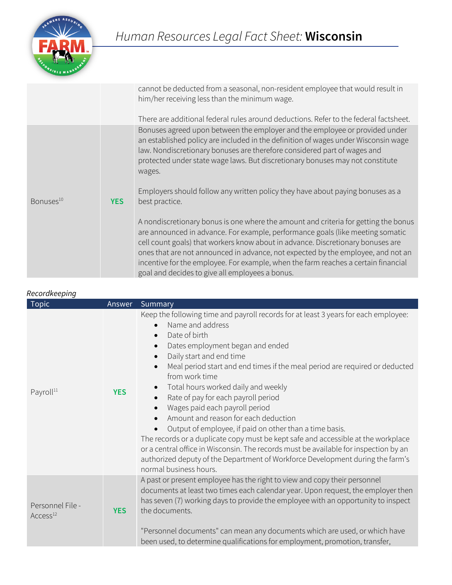

|                       |            | cannot be deducted from a seasonal, non-resident employee that would result in<br>him/her receiving less than the minimum wage.                                                                                                                                                                                                                                                                                                                                                       |
|-----------------------|------------|---------------------------------------------------------------------------------------------------------------------------------------------------------------------------------------------------------------------------------------------------------------------------------------------------------------------------------------------------------------------------------------------------------------------------------------------------------------------------------------|
|                       |            | There are additional federal rules around deductions. Refer to the federal factsheet.                                                                                                                                                                                                                                                                                                                                                                                                 |
| Bonuses <sup>10</sup> | <b>YES</b> | Bonuses agreed upon between the employer and the employee or provided under<br>an established policy are included in the definition of wages under Wisconsin wage<br>law. Nondiscretionary bonuses are therefore considered part of wages and<br>protected under state wage laws. But discretionary bonuses may not constitute<br>wages.<br>Employers should follow any written policy they have about paying bonuses as a<br>best practice.                                          |
|                       |            | A nondiscretionary bonus is one where the amount and criteria for getting the bonus<br>are announced in advance. For example, performance goals (like meeting somatic<br>cell count goals) that workers know about in advance. Discretionary bonuses are<br>ones that are not announced in advance, not expected by the employee, and not an<br>incentive for the employee. For example, when the farm reaches a certain financial<br>goal and decides to give all employees a bonus. |

| Recordkeeping                            |            |                                                                                                                                                                                                                                                                                                                                                                                                                                                                                                                                                                                                                                                                                                                                                                                                                    |
|------------------------------------------|------------|--------------------------------------------------------------------------------------------------------------------------------------------------------------------------------------------------------------------------------------------------------------------------------------------------------------------------------------------------------------------------------------------------------------------------------------------------------------------------------------------------------------------------------------------------------------------------------------------------------------------------------------------------------------------------------------------------------------------------------------------------------------------------------------------------------------------|
| <b>Topic</b>                             | Answer     | Summary                                                                                                                                                                                                                                                                                                                                                                                                                                                                                                                                                                                                                                                                                                                                                                                                            |
| Payroll <sup>11</sup>                    | <b>YES</b> | Keep the following time and payroll records for at least 3 years for each employee:<br>Name and address<br>Date of birth<br>$\bullet$<br>Dates employment began and ended<br>Daily start and end time<br>Meal period start and end times if the meal period are required or deducted<br>from work time<br>Total hours worked daily and weekly<br>Rate of pay for each payroll period<br>Wages paid each payroll period<br>Amount and reason for each deduction<br>Output of employee, if paid on other than a time basis.<br>The records or a duplicate copy must be kept safe and accessible at the workplace<br>or a central office in Wisconsin. The records must be available for inspection by an<br>authorized deputy of the Department of Workforce Development during the farm's<br>normal business hours. |
| Personnel File -<br>Access <sup>12</sup> | <b>YES</b> | A past or present employee has the right to view and copy their personnel<br>documents at least two times each calendar year. Upon request, the employer then<br>has seven (7) working days to provide the employee with an opportunity to inspect<br>the documents.<br>"Personnel documents" can mean any documents which are used, or which have<br>been used, to determine qualifications for employment, promotion, transfer,                                                                                                                                                                                                                                                                                                                                                                                  |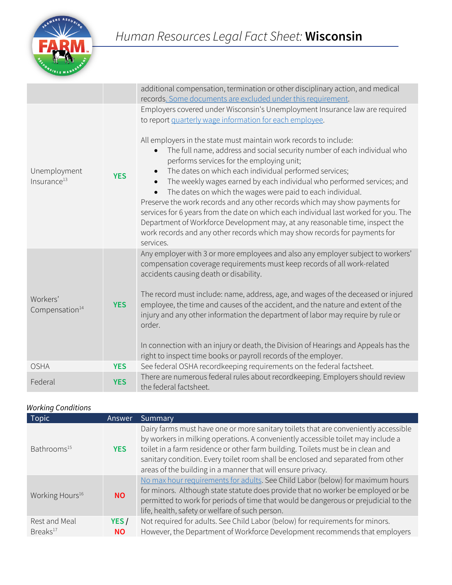

|                                         |            | additional compensation, termination or other disciplinary action, and medical<br>records. Some documents are excluded under this requirement.                                                                                                                                                                                                                                                                                                                                                                                                                                                                                                                                                                                                              |
|-----------------------------------------|------------|-------------------------------------------------------------------------------------------------------------------------------------------------------------------------------------------------------------------------------------------------------------------------------------------------------------------------------------------------------------------------------------------------------------------------------------------------------------------------------------------------------------------------------------------------------------------------------------------------------------------------------------------------------------------------------------------------------------------------------------------------------------|
|                                         |            | Employers covered under Wisconsin's Unemployment Insurance law are required<br>to report quarterly wage information for each employee.                                                                                                                                                                                                                                                                                                                                                                                                                                                                                                                                                                                                                      |
| Unemployment<br>Insurance <sup>13</sup> | <b>YES</b> | All employers in the state must maintain work records to include:<br>The full name, address and social security number of each individual who<br>performs services for the employing unit;<br>The dates on which each individual performed services;<br>$\bullet$<br>The weekly wages earned by each individual who performed services; and<br>The dates on which the wages were paid to each individual.<br>Preserve the work records and any other records which may show payments for<br>services for 6 years from the date on which each individual last worked for you. The<br>Department of Workforce Development may, at any reasonable time, inspect the<br>work records and any other records which may show records for payments for<br>services. |
|                                         |            | Any employer with 3 or more employees and also any employer subject to workers'<br>compensation coverage requirements must keep records of all work-related<br>accidents causing death or disability.                                                                                                                                                                                                                                                                                                                                                                                                                                                                                                                                                       |
| Workers'<br>Compensation <sup>14</sup>  | <b>YES</b> | The record must include: name, address, age, and wages of the deceased or injured<br>employee, the time and causes of the accident, and the nature and extent of the<br>injury and any other information the department of labor may require by rule or<br>order.                                                                                                                                                                                                                                                                                                                                                                                                                                                                                           |
|                                         |            | In connection with an injury or death, the Division of Hearings and Appeals has the<br>right to inspect time books or payroll records of the employer.                                                                                                                                                                                                                                                                                                                                                                                                                                                                                                                                                                                                      |
| <b>OSHA</b>                             | <b>YES</b> | See federal OSHA recordkeeping requirements on the federal factsheet.                                                                                                                                                                                                                                                                                                                                                                                                                                                                                                                                                                                                                                                                                       |
| Federal                                 | <b>YES</b> | There are numerous federal rules about recordkeeping. Employers should review<br>the federal factsheet.                                                                                                                                                                                                                                                                                                                                                                                                                                                                                                                                                                                                                                                     |

# *Working Conditions*

| <b>Topic</b>                          | Answer            | Summary                                                                                                                                                                                                                                                                                                                                                                                                       |
|---------------------------------------|-------------------|---------------------------------------------------------------------------------------------------------------------------------------------------------------------------------------------------------------------------------------------------------------------------------------------------------------------------------------------------------------------------------------------------------------|
| Bathrooms <sup>15</sup>               | <b>YES</b>        | Dairy farms must have one or more sanitary toilets that are conveniently accessible<br>by workers in milking operations. A conveniently accessible toilet may include a<br>toilet in a farm residence or other farm building. Toilets must be in clean and<br>sanitary condition. Every toilet room shall be enclosed and separated from other<br>areas of the building in a manner that will ensure privacy. |
| Working Hours <sup>16</sup>           | <b>NO</b>         | No max hour requirements for adults. See Child Labor (below) for maximum hours<br>for minors. Although state statute does provide that no worker be employed or be<br>permitted to work for periods of time that would be dangerous or prejudicial to the<br>life, health, safety or welfare of such person.                                                                                                  |
| Rest and Meal<br>Breaks <sup>17</sup> | YES/<br><b>NO</b> | Not required for adults. See Child Labor (below) for requirements for minors.<br>However, the Department of Workforce Development recommends that employers                                                                                                                                                                                                                                                   |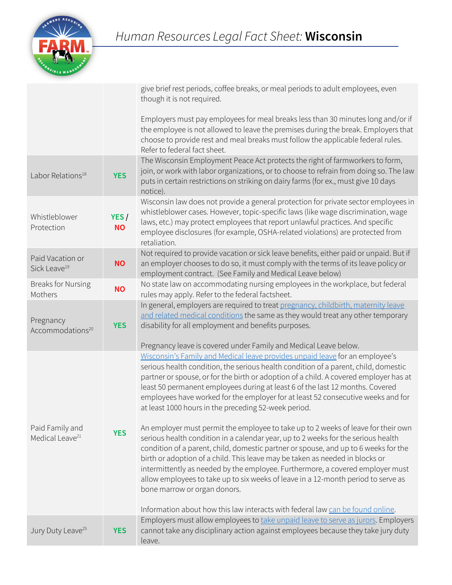

|                                                |                   | give brief rest periods, coffee breaks, or meal periods to adult employees, even<br>though it is not required.                                                                                                                                                                                                                                                                                                                                                                                                                                       |
|------------------------------------------------|-------------------|------------------------------------------------------------------------------------------------------------------------------------------------------------------------------------------------------------------------------------------------------------------------------------------------------------------------------------------------------------------------------------------------------------------------------------------------------------------------------------------------------------------------------------------------------|
|                                                |                   | Employers must pay employees for meal breaks less than 30 minutes long and/or if<br>the employee is not allowed to leave the premises during the break. Employers that<br>choose to provide rest and meal breaks must follow the applicable federal rules.<br>Refer to federal fact sheet.                                                                                                                                                                                                                                                           |
| Labor Relations <sup>18</sup>                  | <b>YES</b>        | The Wisconsin Employment Peace Act protects the right of farmworkers to form,<br>join, or work with labor organizations, or to choose to refrain from doing so. The law<br>puts in certain restrictions on striking on dairy farms (for ex., must give 10 days<br>notice).                                                                                                                                                                                                                                                                           |
| Whistleblower<br>Protection                    | YES/<br><b>NO</b> | Wisconsin law does not provide a general protection for private sector employees in<br>whistleblower cases. However, topic-specific laws (like wage discrimination, wage<br>laws, etc.) may protect employees that report unlawful practices. And specific<br>employee disclosures (for example, OSHA-related violations) are protected from<br>retaliation.                                                                                                                                                                                         |
| Paid Vacation or<br>Sick Leave <sup>19</sup>   | <b>NO</b>         | Not required to provide vacation or sick leave benefits, either paid or unpaid. But if<br>an employer chooses to do so, it must comply with the terms of its leave policy or<br>employment contract. (See Family and Medical Leave below)                                                                                                                                                                                                                                                                                                            |
| <b>Breaks for Nursing</b><br>Mothers           | <b>NO</b>         | No state law on accommodating nursing employees in the workplace, but federal<br>rules may apply. Refer to the federal factsheet.                                                                                                                                                                                                                                                                                                                                                                                                                    |
| Pregnancy<br>Accommodations <sup>20</sup>      | <b>YES</b>        | In general, employers are required to treat pregnancy, childbirth, maternity leave<br>and related medical conditions the same as they would treat any other temporary<br>disability for all employment and benefits purposes.<br>Pregnancy leave is covered under Family and Medical Leave below.                                                                                                                                                                                                                                                    |
|                                                |                   | Wisconsin's Family and Medical leave provides unpaid leave for an employee's<br>serious health condition, the serious health condition of a parent, child, domestic<br>partner or spouse, or for the birth or adoption of a child. A covered employer has at<br>least 50 permanent employees during at least 6 of the last 12 months. Covered<br>employees have worked for the employer for at least 52 consecutive weeks and for<br>at least 1000 hours in the preceding 52-week period.                                                            |
| Paid Family and<br>Medical Leave <sup>21</sup> | <b>YES</b>        | An employer must permit the employee to take up to 2 weeks of leave for their own<br>serious health condition in a calendar year, up to 2 weeks for the serious health<br>condition of a parent, child, domestic partner or spouse, and up to 6 weeks for the<br>birth or adoption of a child. This leave may be taken as needed in blocks or<br>intermittently as needed by the employee. Furthermore, a covered employer must<br>allow employees to take up to six weeks of leave in a 12-month period to serve as<br>bone marrow or organ donors. |
|                                                |                   | Information about how this law interacts with federal law can be found online.<br>Employers must allow employees to take unpaid leave to serve as jurors. Employers                                                                                                                                                                                                                                                                                                                                                                                  |
| Jury Duty Leave <sup>25</sup>                  | <b>YES</b>        | cannot take any disciplinary action against employees because they take jury duty<br>leave.                                                                                                                                                                                                                                                                                                                                                                                                                                                          |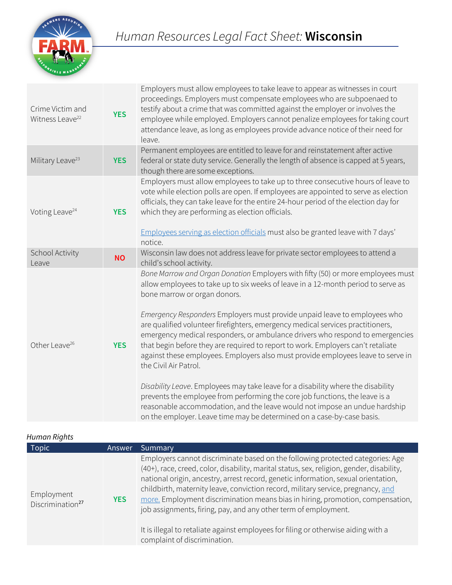

| Crime Victim and<br>Witness Leave <sup>22</sup> | <b>YES</b> | Employers must allow employees to take leave to appear as witnesses in court<br>proceedings. Employers must compensate employees who are subpoenaed to<br>testify about a crime that was committed against the employer or involves the<br>employee while employed. Employers cannot penalize employees for taking court<br>attendance leave, as long as employees provide advance notice of their need for<br>leave.                                                                                                                                                                                                                                                                                                                                                                                                                                                                                                                                                              |
|-------------------------------------------------|------------|------------------------------------------------------------------------------------------------------------------------------------------------------------------------------------------------------------------------------------------------------------------------------------------------------------------------------------------------------------------------------------------------------------------------------------------------------------------------------------------------------------------------------------------------------------------------------------------------------------------------------------------------------------------------------------------------------------------------------------------------------------------------------------------------------------------------------------------------------------------------------------------------------------------------------------------------------------------------------------|
| Military Leave <sup>23</sup>                    | <b>YES</b> | Permanent employees are entitled to leave for and reinstatement after active<br>federal or state duty service. Generally the length of absence is capped at 5 years,<br>though there are some exceptions.                                                                                                                                                                                                                                                                                                                                                                                                                                                                                                                                                                                                                                                                                                                                                                          |
| Voting Leave <sup>24</sup>                      | <b>YES</b> | Employers must allow employees to take up to three consecutive hours of leave to<br>vote while election polls are open. If employees are appointed to serve as election<br>officials, they can take leave for the entire 24-hour period of the election day for<br>which they are performing as election officials.<br>Employees serving as election officials must also be granted leave with 7 days'<br>notice.                                                                                                                                                                                                                                                                                                                                                                                                                                                                                                                                                                  |
| School Activity<br>Leave                        | <b>NO</b>  | Wisconsin law does not address leave for private sector employees to attend a<br>child's school activity.                                                                                                                                                                                                                                                                                                                                                                                                                                                                                                                                                                                                                                                                                                                                                                                                                                                                          |
| Other Leave <sup>26</sup>                       | <b>YES</b> | Bone Marrow and Organ Donation Employers with fifty (50) or more employees must<br>allow employees to take up to six weeks of leave in a 12-month period to serve as<br>bone marrow or organ donors.<br>Emergency Responders Employers must provide unpaid leave to employees who<br>are qualified volunteer firefighters, emergency medical services practitioners,<br>emergency medical responders, or ambulance drivers who respond to emergencies<br>that begin before they are required to report to work. Employers can't retaliate<br>against these employees. Employers also must provide employees leave to serve in<br>the Civil Air Patrol.<br>Disability Leave. Employees may take leave for a disability where the disability<br>prevents the employee from performing the core job functions, the leave is a<br>reasonable accommodation, and the leave would not impose an undue hardship<br>on the employer. Leave time may be determined on a case-by-case basis. |

*Human Rights*

| <i>Humun Kiynts</i>                        |               |                                                                                                                                                                                                                                                                                                                                                                                                                                                                                                                                                                                                                                  |
|--------------------------------------------|---------------|----------------------------------------------------------------------------------------------------------------------------------------------------------------------------------------------------------------------------------------------------------------------------------------------------------------------------------------------------------------------------------------------------------------------------------------------------------------------------------------------------------------------------------------------------------------------------------------------------------------------------------|
| <b>Topic</b>                               | <b>Answer</b> | Summary                                                                                                                                                                                                                                                                                                                                                                                                                                                                                                                                                                                                                          |
| Employment<br>Discrimination <sup>27</sup> | <b>YES</b>    | Employers cannot discriminate based on the following protected categories: Age<br>(40+), race, creed, color, disability, marital status, sex, religion, gender, disability,<br>national origin, ancestry, arrest record, genetic information, sexual orientation,<br>childbirth, maternity leave, conviction record, military service, pregnancy, and<br>more. Employment discrimination means bias in hiring, promotion, compensation,<br>job assignments, firing, pay, and any other term of employment.<br>It is illegal to retaliate against employees for filing or otherwise aiding with a<br>complaint of discrimination. |
|                                            |               |                                                                                                                                                                                                                                                                                                                                                                                                                                                                                                                                                                                                                                  |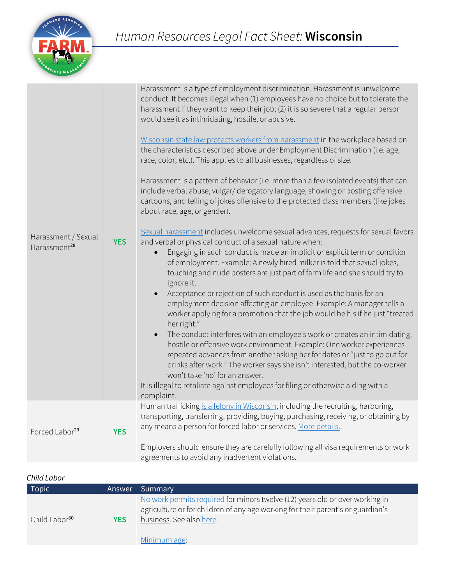

| Human trafficking is a felony in Wisconsin, including the recruiting, harboring,<br>transporting, transferring, providing, buying, purchasing, receiving, or obtaining by<br>any means a person for forced labor or services. More details<br>Forced Labor <sup>29</sup><br><b>YES</b><br>Employers should ensure they are carefully following all visa requirements or work<br>agreements to avoid any inadvertent violations. | Harassment / Sexual<br>Harassment <sup>28</sup> | <b>YES</b> | conduct. It becomes illegal when (1) employees have no choice but to tolerate the<br>harassment if they want to keep their job; (2) it is so severe that a regular person<br>would see it as intimidating, hostile, or abusive.<br>Wisconsin state law protects workers from harassment in the workplace based on<br>the characteristics described above under Employment Discrimination (i.e. age,<br>race, color, etc.). This applies to all businesses, regardless of size.<br>Harassment is a pattern of behavior (i.e. more than a few isolated events) that can<br>include verbal abuse, vulgar/ derogatory language, showing or posting offensive<br>cartoons, and telling of jokes offensive to the protected class members (like jokes<br>about race, age, or gender).<br>Sexual harassment includes unwelcome sexual advances, requests for sexual favors<br>and verbal or physical conduct of a sexual nature when:<br>Engaging in such conduct is made an implicit or explicit term or condition<br>of employment. Example: A newly hired milker is told that sexual jokes,<br>touching and nude posters are just part of farm life and she should try to<br>ignore it.<br>Acceptance or rejection of such conduct is used as the basis for an<br>employment decision affecting an employee. Example: A manager tells a<br>worker applying for a promotion that the job would be his if he just "treated<br>her right."<br>The conduct interferes with an employee's work or creates an intimidating,<br>$\bullet$<br>hostile or offensive work environment. Example: One worker experiences<br>repeated advances from another asking her for dates or "just to go out for<br>drinks after work." The worker says she isn't interested, but the co-worker<br>won't take 'no' for an answer.<br>It is illegal to retaliate against employees for filing or otherwise aiding with a<br>complaint. |
|---------------------------------------------------------------------------------------------------------------------------------------------------------------------------------------------------------------------------------------------------------------------------------------------------------------------------------------------------------------------------------------------------------------------------------|-------------------------------------------------|------------|-------------------------------------------------------------------------------------------------------------------------------------------------------------------------------------------------------------------------------------------------------------------------------------------------------------------------------------------------------------------------------------------------------------------------------------------------------------------------------------------------------------------------------------------------------------------------------------------------------------------------------------------------------------------------------------------------------------------------------------------------------------------------------------------------------------------------------------------------------------------------------------------------------------------------------------------------------------------------------------------------------------------------------------------------------------------------------------------------------------------------------------------------------------------------------------------------------------------------------------------------------------------------------------------------------------------------------------------------------------------------------------------------------------------------------------------------------------------------------------------------------------------------------------------------------------------------------------------------------------------------------------------------------------------------------------------------------------------------------------------------------------------------------------------------------------------------------------------------------------------------------------------------------------|
|                                                                                                                                                                                                                                                                                                                                                                                                                                 |                                                 |            |                                                                                                                                                                                                                                                                                                                                                                                                                                                                                                                                                                                                                                                                                                                                                                                                                                                                                                                                                                                                                                                                                                                                                                                                                                                                                                                                                                                                                                                                                                                                                                                                                                                                                                                                                                                                                                                                                                             |

# *Child Labor*

| <b>Topic</b>              | Answer     | <b>Summary</b>                                                                                                                                                                                              |
|---------------------------|------------|-------------------------------------------------------------------------------------------------------------------------------------------------------------------------------------------------------------|
| Child Labor <sup>30</sup> | <b>YES</b> | No work permits required for minors twelve (12) years old or over working in<br>agriculture or for children of any age working for their parent's or guardian's<br>business. See also here.<br>Minimum age: |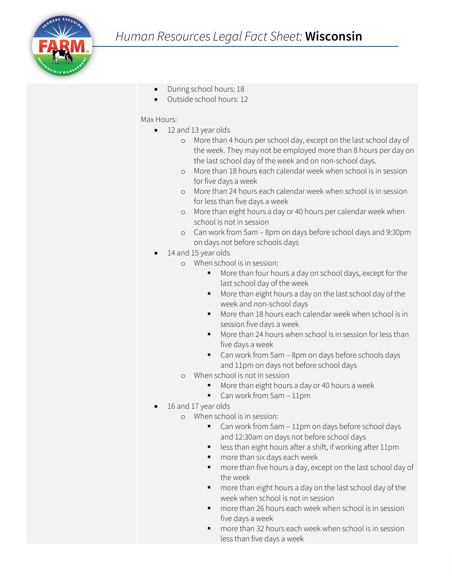- During school hours: 18
- Outside school hours: 12

### Max Hours:

- 12 and 13 year olds
	- o More than 4 hours per school day, except on the last school day of the week. They may not be employed more than 8 hours per day on the last school day of the week and on non-school days.
	- o More than 18 hours each calendar week when school is in session for five days a week
	- o More than 24 hours each calendar week when school is in session for less than five days a week
	- o More than eight hours a day or 40 hours per calendar week when school is not in session
	- o Can work from 5am 8pm on days before school days and 9:30pm on days not before schools days
- 14 and 15 year olds
	- o When school is in session:
		- More than four hours a day on school days, except for the last school day of the week
		- More than eight hours a day on the last school day of the week and non-school days
		- **More than 18 hours each calendar week when school is in** session five days a week
		- More than 24 hours when school is in session for less than five days a week
		- Can work from 5am 8pm on days before schools days and 11pm on days not before school days
	- o When school is not in session
		- **More than eight hours a day or 40 hours a week**
		- Can work from 5am 11pm
	- 16 and 17 year olds
		- o When school is in session:
			- Can work from 5am 11pm on days before school days and 12:30am on days not before school days
			- less than eight hours after a shift, if working after 11pm
			- **n** more than six days each week
			- more than five hours a day, except on the last school day of the week
			- **n** more than eight hours a day on the last school day of the week when school is not in session
			- **n** more than 26 hours each week when school is in session five days a week
			- more than 32 hours each week when school is in session less than five days a week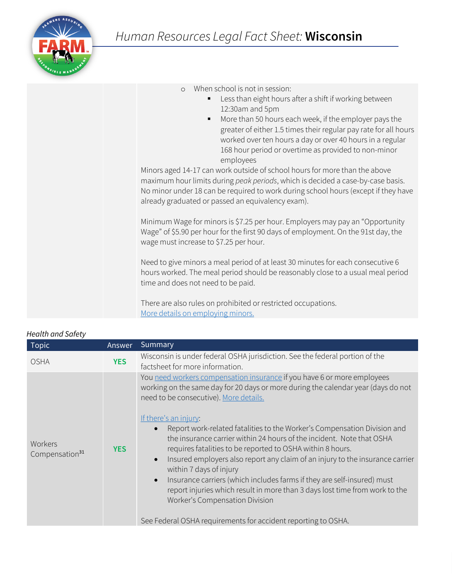

| When school is not in session:<br>$\circ$<br>Less than eight hours after a shift if working between<br>12:30am and 5pm<br>More than 50 hours each week, if the employer pays the<br>٠<br>greater of either 1.5 times their regular pay rate for all hours<br>worked over ten hours a day or over 40 hours in a regular<br>168 hour period or overtime as provided to non-minor<br>employees<br>Minors aged 14-17 can work outside of school hours for more than the above<br>maximum hour limits during peak periods, which is decided a case-by-case basis.<br>No minor under 18 can be required to work during school hours (except if they have<br>already graduated or passed an equivalency exam). |
|---------------------------------------------------------------------------------------------------------------------------------------------------------------------------------------------------------------------------------------------------------------------------------------------------------------------------------------------------------------------------------------------------------------------------------------------------------------------------------------------------------------------------------------------------------------------------------------------------------------------------------------------------------------------------------------------------------|
| Minimum Wage for minors is \$7.25 per hour. Employers may pay an "Opportunity<br>Wage" of \$5.90 per hour for the first 90 days of employment. On the 91st day, the<br>wage must increase to \$7.25 per hour.                                                                                                                                                                                                                                                                                                                                                                                                                                                                                           |
| Need to give minors a meal period of at least 30 minutes for each consecutive 6<br>hours worked. The meal period should be reasonably close to a usual meal period<br>time and does not need to be paid.                                                                                                                                                                                                                                                                                                                                                                                                                                                                                                |
| There are also rules on prohibited or restricted occupations.                                                                                                                                                                                                                                                                                                                                                                                                                                                                                                                                                                                                                                           |

There are also rules on prohibited or restricted occupations. [More details on employing minors.](https://dwd.wisconsin.gov/er/laborstandards/workpermit/lawguide.htm)

| <b>Topic</b>                          | Answer     | Summary                                                                                                                                                                                                                                                                                                                                                                                                                                                                                                                                                        |
|---------------------------------------|------------|----------------------------------------------------------------------------------------------------------------------------------------------------------------------------------------------------------------------------------------------------------------------------------------------------------------------------------------------------------------------------------------------------------------------------------------------------------------------------------------------------------------------------------------------------------------|
| <b>OSHA</b>                           | <b>YES</b> | Wisconsin is under federal OSHA jurisdiction. See the federal portion of the<br>factsheet for more information.                                                                                                                                                                                                                                                                                                                                                                                                                                                |
| Workers<br>Compensation <sup>31</sup> | <b>YES</b> | You need workers compensation insurance if you have 6 or more employees<br>working on the same day for 20 days or more during the calendar year (days do not<br>need to be consecutive). More details.<br>If there's an injury:                                                                                                                                                                                                                                                                                                                                |
|                                       |            | Report work-related fatalities to the Worker's Compensation Division and<br>$\bullet$<br>the insurance carrier within 24 hours of the incident. Note that OSHA<br>requires fatalities to be reported to OSHA within 8 hours.<br>Insured employers also report any claim of an injury to the insurance carrier<br>$\bullet$<br>within 7 days of injury<br>Insurance carriers (which includes farms if they are self-insured) must<br>$\bullet$<br>report injuries which result in more than 3 days lost time from work to the<br>Worker's Compensation Division |
|                                       |            | See Federal OSHA requirements for accident reporting to OSHA.                                                                                                                                                                                                                                                                                                                                                                                                                                                                                                  |

#### *Health and Safety*